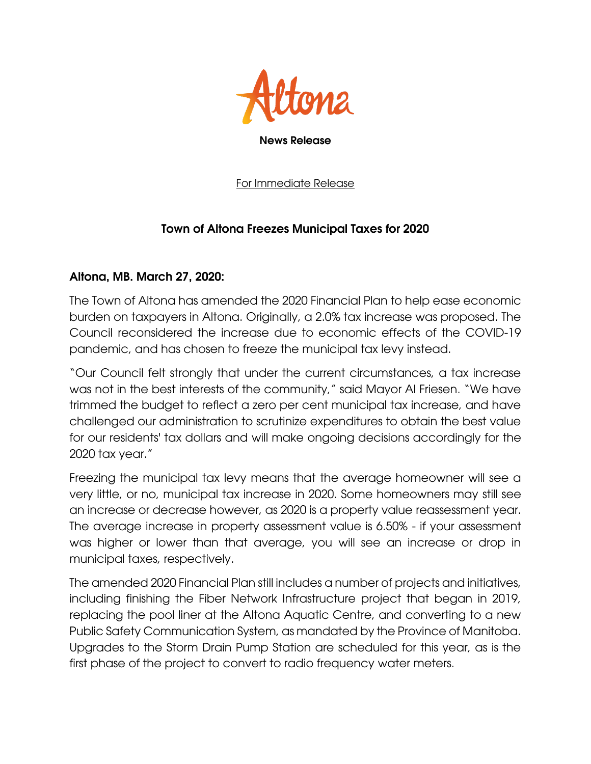

For Immediate Release

## Town of Altona Freezes Municipal Taxes for 2020

## Altona, MB. March 27, 2020:

The Town of Altona has amended the 2020 Financial Plan to help ease economic burden on taxpayers in Altona. Originally, a 2.0% tax increase was proposed. The Council reconsidered the increase due to economic effects of the COVID-19 pandemic, and has chosen to freeze the municipal tax levy instead.

"Our Council felt strongly that under the current circumstances, a tax increase was not in the best interests of the community," said Mayor Al Friesen. "We have trimmed the budget to reflect a zero per cent municipal tax increase, and have challenged our administration to scrutinize expenditures to obtain the best value for our residents' tax dollars and will make ongoing decisions accordingly for the 2020 tax year."

Freezing the municipal tax levy means that the average homeowner will see a very little, or no, municipal tax increase in 2020. Some homeowners may still see an increase or decrease however, as 2020 is a property value reassessment year. The average increase in property assessment value is 6.50% - if your assessment was higher or lower than that average, you will see an increase or drop in municipal taxes, respectively.

The amended 2020 Financial Plan still includes a number of projects and initiatives, including finishing the Fiber Network Infrastructure project that began in 2019, replacing the pool liner at the Altona Aquatic Centre, and converting to a new Public Safety Communication System, as mandated by the Province of Manitoba. Upgrades to the Storm Drain Pump Station are scheduled for this year, as is the first phase of the project to convert to radio frequency water meters.